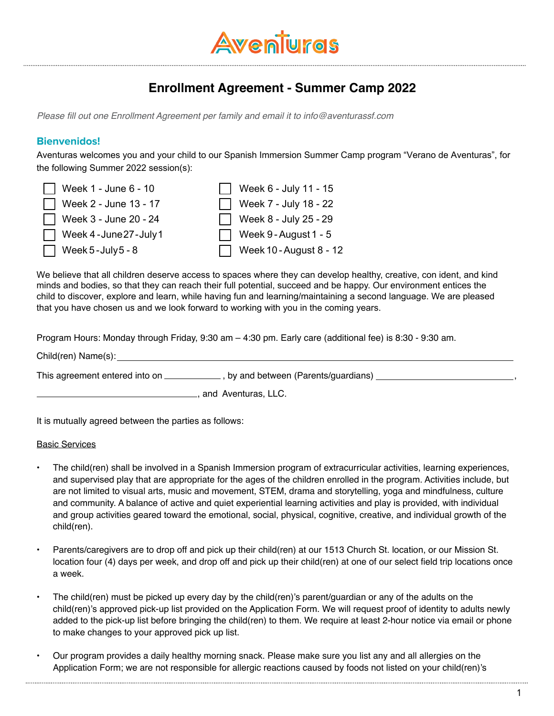

# **Enrollment Agreement - Summer Camp 2022**

Please fill out one Enrollment Agreement per family and email it to info@aventurassf.com

## **Bienvenidos!**

Aventuras welcomes you and your child to our Spanish Immersion Summer Camp program "Verano de Aventuras", for the following Summer 2022 session(s):

| $\Box$ Week 1 - June 6 - 10 | Week $6 -$ July 11 - 15        |
|-----------------------------|--------------------------------|
| Week $2 -$ June 13 - 17     | Week $7 -$ July 18 - 22        |
| Week $3 -$ June 20 - 24     | Week 8 - July 25 - 29          |
| Week 4-June 27-July 1       | $\Box$ Week 9 - August 1 - 5   |
| $\Box$ Week 5 - July 5 - 8  | $\Box$ Week 10 - August 8 - 12 |

We believe that all children deserve access to spaces where they can develop healthy, creative, con ident, and kind minds and bodies, so that they can reach their full potential, succeed and be happy. Our environment entices the child to discover, explore and learn, while having fun and learning/maintaining a second language. We are pleased that you have chosen us and we look forward to working with you in the coming years.

Program Hours: Monday through Friday, 9:30 am – 4:30 pm. Early care (additional fee) is 8:30 - 9:30 am.

Child(ren) Name(s):

This agreement entered into on \_\_\_\_\_\_\_\_\_\_\_\_\_, by and between (Parents/guardians)  $\overline{\phantom{a}}$ 

**Example 20**, and Aventuras, LLC.

It is mutually agreed between the parties as follows:

#### Basic Services

- The child(ren) shall be involved in a Spanish Immersion program of extracurricular activities, learning experiences, and supervised play that are appropriate for the ages of the children enrolled in the program. Activities include, but are not limited to visual arts, music and movement, STEM, drama and storytelling, yoga and mindfulness, culture and community. A balance of active and quiet experiential learning activities and play is provided, with individual and group activities geared toward the emotional, social, physical, cognitive, creative, and individual growth of the child(ren).
- Parents/caregivers are to drop off and pick up their child(ren) at our 1513 Church St. location, or our Mission St. location four (4) days per week, and drop off and pick up their child(ren) at one of our select field trip locations once a week.
- The child(ren) must be picked up every day by the child(ren)'s parent/guardian or any of the adults on the child(ren)'s approved pick-up list provided on the Application Form. We will request proof of identity to adults newly added to the pick-up list before bringing the child(ren) to them. We require at least 2-hour notice via email or phone to make changes to your approved pick up list.
- Our program provides a daily healthy morning snack. Please make sure you list any and all allergies on the Application Form; we are not responsible for allergic reactions caused by foods not listed on your child(ren)'s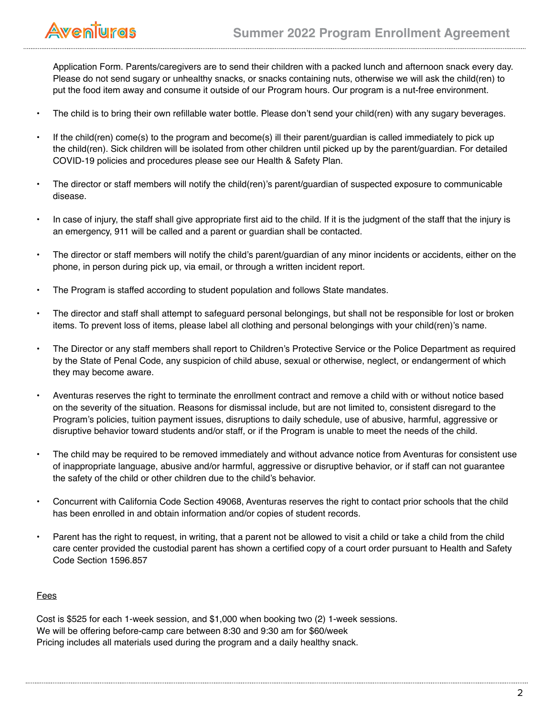

Application Form. Parents/caregivers are to send their children with a packed lunch and afternoon snack every day. Please do not send sugary or unhealthy snacks, or snacks containing nuts, otherwise we will ask the child(ren) to put the food item away and consume it outside of our Program hours. Our program is a nut-free environment.

- The child is to bring their own refillable water bottle. Please don't send your child(ren) with any sugary beverages.
- If the child(ren) come(s) to the program and become(s) ill their parent/guardian is called immediately to pick up the child(ren). Sick children will be isolated from other children until picked up by the parent/guardian. For detailed COVID-19 policies and procedures please see our Health & Safety Plan.
- The director or staff members will notify the child(ren)'s parent/guardian of suspected exposure to communicable disease.
- In case of injury, the staff shall give appropriate first aid to the child. If it is the judgment of the staff that the injury is an emergency, 911 will be called and a parent or guardian shall be contacted.
- The director or staff members will notify the child's parent/guardian of any minor incidents or accidents, either on the phone, in person during pick up, via email, or through a written incident report.
- The Program is staffed according to student population and follows State mandates.
- The director and staff shall attempt to safeguard personal belongings, but shall not be responsible for lost or broken items. To prevent loss of items, please label all clothing and personal belongings with your child(ren)'s name.
- The Director or any staff members shall report to Children's Protective Service or the Police Department as required by the State of Penal Code, any suspicion of child abuse, sexual or otherwise, neglect, or endangerment of which they may become aware.
- Aventuras reserves the right to terminate the enrollment contract and remove a child with or without notice based on the severity of the situation. Reasons for dismissal include, but are not limited to, consistent disregard to the Program's policies, tuition payment issues, disruptions to daily schedule, use of abusive, harmful, aggressive or disruptive behavior toward students and/or staff, or if the Program is unable to meet the needs of the child.
- The child may be required to be removed immediately and without advance notice from Aventuras for consistent use of inappropriate language, abusive and/or harmful, aggressive or disruptive behavior, or if staff can not guarantee the safety of the child or other children due to the child's behavior.
- Concurrent with California Code Section 49068, Aventuras reserves the right to contact prior schools that the child has been enrolled in and obtain information and/or copies of student records.
- Parent has the right to request, in writing, that a parent not be allowed to visit a child or take a child from the child care center provided the custodial parent has shown a certified copy of a court order pursuant to Health and Safety Code Section 1596.857

### **Fees**

Cost is \$525 for each 1-week session, and \$1,000 when booking two (2) 1-week sessions. We will be offering before-camp care between 8:30 and 9:30 am for \$60/week Pricing includes all materials used during the program and a daily healthy snack.